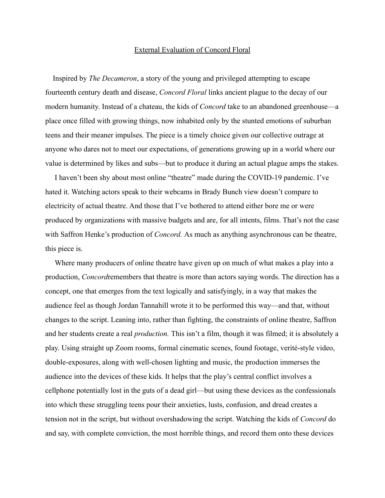## External Evaluation of Concord Floral

Inspired by *The Decameron*, a story of the young and privileged attempting to escape fourteenth century death and disease, *Concord Floral* links ancient plague to the decay of our modern humanity. Instead of a chateau, the kids of *Concord* take to an abandoned greenhouse—a place once filled with growing things, now inhabited only by the stunted emotions of suburban teens and their meaner impulses. The piece is a timely choice given our collective outrage at anyone who dares not to meet our expectations, of generations growing up in a world where our value is determined by likes and subs—but to produce it during an actual plague amps the stakes.

I haven't been shy about most online "theatre" made during the COVID-19 pandemic. I've hated it. Watching actors speak to their webcams in Brady Bunch view doesn't compare to electricity of actual theatre. And those that I've bothered to attend either bore me or were produced by organizations with massive budgets and are, for all intents, films. That's not the case with Saffron Henke's production of *Concord.* As much as anything asynchronous can be theatre, this piece is.

Where many producers of online theatre have given up on much of what makes a play into a production, *Concord*remembers that theatre is more than actors saying words. The direction has a concept, one that emerges from the text logically and satisfyingly, in a way that makes the audience feel as though Jordan Tannahill wrote it to be performed this way—and that, without changes to the script. Leaning into, rather than fighting, the constraints of online theatre, Saffron and her students create a real *production.* This isn't a film, though it was filmed; it is absolutely a play. Using straight up Zoom rooms, formal cinematic scenes, found footage, verité-style video, double-exposures, along with well-chosen lighting and music, the production immerses the audience into the devices of these kids. It helps that the play's central conflict involves a cellphone potentially lost in the guts of a dead girl—but using these devices as the confessionals into which these struggling teens pour their anxieties, lusts, confusion, and dread creates a tension not in the script, but without overshadowing the script. Watching the kids of *Concord* do and say, with complete conviction, the most horrible things, and record them onto these devices